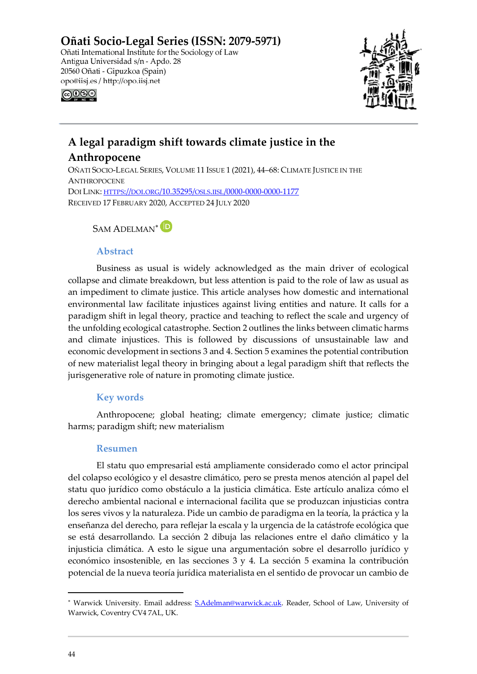Oñati Socio-Legal Series (ISSN: 2079-5971) Oñati International Institute for the Sociology of Law Antigua Universidad s/n - Apdo. 28 20560 Oñati - Gipuzkoa (Spain) opo@iisj.es / http://opo.iisj.net ெை⊜



# **A legal paradigm shift towards climate justice in the**

# **Anthropocene**

OÑATI SOCIO-LEGAL SERIES, VOLUME 11 ISSUE 1 (2021), 44–68: CLIMATE JUSTICE IN THE **ANTHROPOCENE** DOI LINK: [HTTPS://DOI.ORG/10.35295/OSLS.IISL/0000-0000-0000-1177](https://doi.org/10.35295/osls.iisl/0000-0000-0000-1177) RECEIVED 17 FEBRUARY 2020, ACCEPTED 24 JULY 2020

## SAM ADELMAN<sup>\*</sup>

## **Abstract**

Business as usual is widely acknowledged as the main driver of ecological collapse and climate breakdown, but less attention is paid to the role of law as usual as an impediment to climate justice. This article analyses how domestic and international environmental law facilitate injustices against living entities and nature. It calls for a paradigm shift in legal theory, practice and teaching to reflect the scale and urgency of the unfolding ecological catastrophe. Section 2 outlines the links between climatic harms and climate injustices. This is followed by discussions of unsustainable law and economic development in sections 3 and 4. Section 5 examines the potential contribution of new materialist legal theory in bringing about a legal paradigm shift that reflects the jurisgenerative role of nature in promoting climate justice.

## **Key words**

Anthropocene; global heating; climate emergency; climate justice; climatic harms; paradigm shift; new materialism

## **Resumen**

El statu quo empresarial está ampliamente considerado como el actor principal del colapso ecológico y el desastre climático, pero se presta menos atención al papel del statu quo jurídico como obstáculo a la justicia climática. Este artículo analiza cómo el derecho ambiental nacional e internacional facilita que se produzcan injusticias contra los seres vivos y la naturaleza. Pide un cambio de paradigma en la teoría, la práctica y la enseñanza del derecho, para reflejar la escala y la urgencia de la catástrofe ecológica que se está desarrollando. La sección 2 dibuja las relaciones entre el daño climático y la injusticia climática. A esto le sigue una argumentación sobre el desarrollo jurídico y económico insostenible, en las secciones 3 y 4. La sección 5 examina la contribución potencial de la nueva teoría jurídica materialista en el sentido de provocar un cambio de

<span id="page-0-0"></span><sup>∗</sup> Warwick University. Email address: [S.Adelman@warwick.ac.uk.](mailto:S.Adelman@warwick.ac.uk) Reader, School of Law, University of Warwick, Coventry CV4 7AL, UK.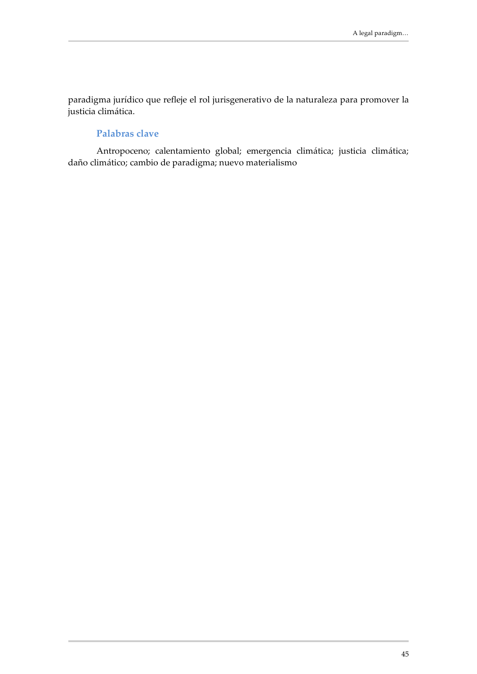paradigma jurídico que refleje el rol jurisgenerativo de la naturaleza para promover la justicia climática.

## **Palabras clave**

Antropoceno; calentamiento global; emergencia climática; justicia climática; daño climático; cambio de paradigma; nuevo materialismo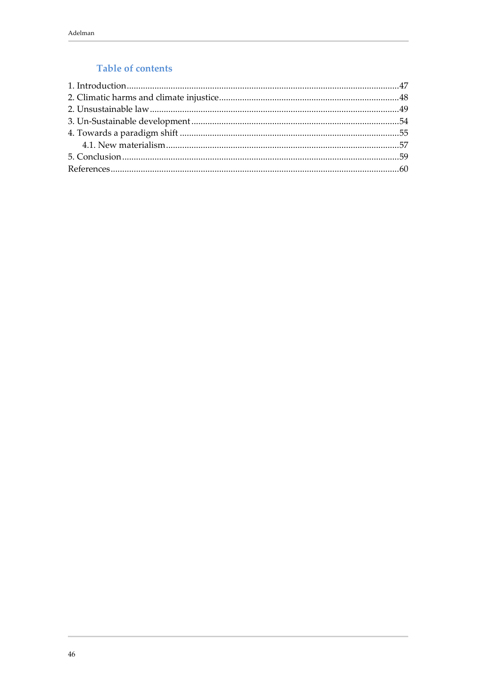# Table of contents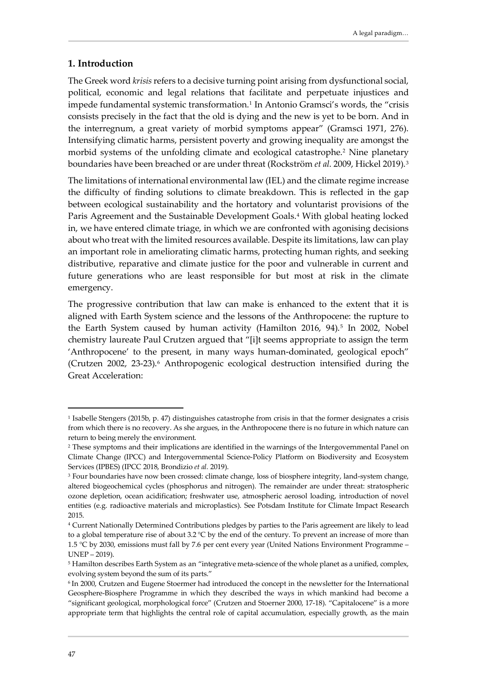## <span id="page-3-0"></span>**1. Introduction**

The Greek word *krisis* refers to a decisive turning point arising from dysfunctional social, political, economic and legal relations that facilitate and perpetuate injustices and impede fundamental systemic transformation.[1](#page-3-1) In Antonio Gramsci's words, the "crisis consists precisely in the fact that the old is dying and the new is yet to be born. And in the interregnum, a great variety of morbid symptoms appear" (Gramsci 1971, 276). Intensifying climatic harms, persistent poverty and growing inequality are amongst the morbid systems of the unfolding climate and ecological catastrophe.<sup>[2](#page-3-2)</sup> Nine planetary boundaries have been breached or are under threat (Rockström *et al*. 2009, Hickel 2019).[3](#page-3-3)

The limitations of international environmental law (IEL) and the climate regime increase the difficulty of finding solutions to climate breakdown. This is reflected in the gap between ecological sustainability and the hortatory and voluntarist provisions of the Paris Agreement and the Sustainable Development Goals.<sup>[4](#page-3-4)</sup> With global heating locked in, we have entered climate triage, in which we are confronted with agonising decisions about who treat with the limited resources available. Despite its limitations, law can play an important role in ameliorating climatic harms, protecting human rights, and seeking distributive, reparative and climate justice for the poor and vulnerable in current and future generations who are least responsible for but most at risk in the climate emergency.

The progressive contribution that law can make is enhanced to the extent that it is aligned with Earth System science and the lessons of the Anthropocene: the rupture to the Earth System caused by human activity (Hamilton 2016, 94).<sup>[5](#page-3-5)</sup> In 2002, Nobel chemistry laureate Paul Crutzen argued that "[i]t seems appropriate to assign the term 'Anthropocene' to the present, in many ways human-dominated, geological epoch" (Crutzen 2002, 23-23).<sup>[6](#page-3-6)</sup> Anthropogenic ecological destruction intensified during the Great Acceleration:

<span id="page-3-1"></span><sup>1</sup> Isabelle Stengers (2015b, p. 47) distinguishes catastrophe from crisis in that the former designates a crisis from which there is no recovery. As she argues, in the Anthropocene there is no future in which nature can return to being merely the environment.

<span id="page-3-2"></span><sup>2</sup> These symptoms and their implications are identified in the warnings of the Intergovernmental Panel on Climate Change (IPCC) and Intergovernmental Science-Policy Platform on Biodiversity and Ecosystem Services (IPBES) (IPCC 2018, Brondizio *et al.* 2019).

<span id="page-3-3"></span><sup>&</sup>lt;sup>3</sup> Four boundaries have now been crossed: climate change, loss of biosphere integrity, land-system change, altered biogeochemical cycles (phosphorus and nitrogen). The remainder are under threat: stratospheric ozone depletion, ocean acidification; freshwater use, atmospheric aerosol loading, introduction of novel entities (e.g. radioactive materials and microplastics). See Potsdam Institute for Climate Impact Research 2015.

<span id="page-3-4"></span><sup>4</sup> Current Nationally Determined Contributions pledges by parties to the Paris agreement are likely to lead to a global temperature rise of about 3.2 °C by the end of the century. To prevent an increase of more than 1.5 °C by 2030, emissions must fall by 7.6 per cent every year (United Nations Environment Programme – UNEP – 2019).

<span id="page-3-5"></span><sup>&</sup>lt;sup>5</sup> Hamilton describes Earth System as an "integrative meta-science of the whole planet as a unified, complex, evolving system beyond the sum of its parts."

<span id="page-3-6"></span><sup>6</sup> In 2000, Crutzen and Eugene Stoermer had introduced the concept in the newsletter for the International Geosphere-Biosphere Programme in which they described the ways in which mankind had become a "significant geological, morphological force" (Crutzen and Stoerner 2000, 17-18). "Capitalocene" is a more appropriate term that highlights the central role of capital accumulation, especially growth, as the main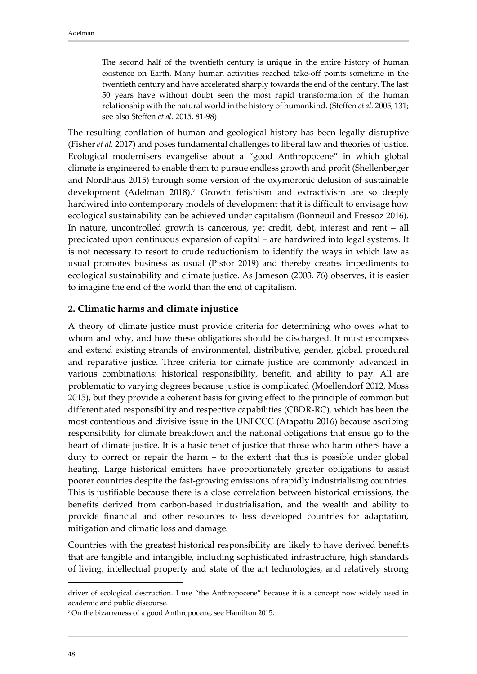The second half of the twentieth century is unique in the entire history of human existence on Earth. Many human activities reached take-off points sometime in the twentieth century and have accelerated sharply towards the end of the century. The last 50 years have without doubt seen the most rapid transformation of the human relationship with the natural world in the history of humankind. (Steffen *et al.* 2005, 131; see also Steffen *et al.* 2015, 81-98)

The resulting conflation of human and geological history has been legally disruptive (Fisher *et al.* 2017) and poses fundamental challenges to liberal law and theories of justice. Ecological modernisers evangelise about a "good Anthropocene" in which global climate is engineered to enable them to pursue endless growth and profit (Shellenberger and Nordhaus 2015) through some version of the oxymoronic delusion of sustainable development (Adelman 2018)[.7](#page-4-1) Growth fetishism and extractivism are so deeply hardwired into contemporary models of development that it is difficult to envisage how ecological sustainability can be achieved under capitalism (Bonneuil and Fressoz 2016). In nature, uncontrolled growth is cancerous, yet credit, debt, interest and rent – all predicated upon continuous expansion of capital – are hardwired into legal systems. It is not necessary to resort to crude reductionism to identify the ways in which law as usual promotes business as usual (Pistor 2019) and thereby creates impediments to ecological sustainability and climate justice. As Jameson (2003, 76) observes, it is easier to imagine the end of the world than the end of capitalism.

#### <span id="page-4-0"></span>**2. Climatic harms and climate injustice**

A theory of climate justice must provide criteria for determining who owes what to whom and why, and how these obligations should be discharged. It must encompass and extend existing strands of environmental, distributive, gender, global, procedural and reparative justice. Three criteria for climate justice are commonly advanced in various combinations: historical responsibility, benefit, and ability to pay. All are problematic to varying degrees because justice is complicated (Moellendorf 2012, Moss 2015), but they provide a coherent basis for giving effect to the principle of common but differentiated responsibility and respective capabilities (CBDR-RC), which has been the most contentious and divisive issue in the UNFCCC (Atapattu 2016) because ascribing responsibility for climate breakdown and the national obligations that ensue go to the heart of climate justice. It is a basic tenet of justice that those who harm others have a duty to correct or repair the harm – to the extent that this is possible under global heating. Large historical emitters have proportionately greater obligations to assist poorer countries despite the fast-growing emissions of rapidly industrialising countries. This is justifiable because there is a close correlation between historical emissions, the benefits derived from carbon-based industrialisation, and the wealth and ability to provide financial and other resources to less developed countries for adaptation, mitigation and climatic loss and damage.

Countries with the greatest historical responsibility are likely to have derived benefits that are tangible and intangible, including sophisticated infrastructure, high standards of living, intellectual property and state of the art technologies, and relatively strong

driver of ecological destruction. I use "the Anthropocene" because it is a concept now widely used in academic and public discourse.

<span id="page-4-1"></span><sup>7</sup> On the bizarreness of a good Anthropocene, see Hamilton 2015.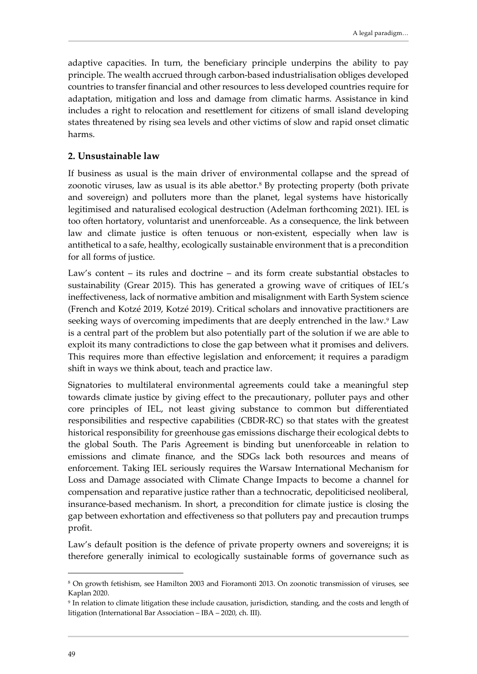adaptive capacities. In turn, the beneficiary principle underpins the ability to pay principle. The wealth accrued through carbon-based industrialisation obliges developed countries to transfer financial and other resources to less developed countries require for adaptation, mitigation and loss and damage from climatic harms. Assistance in kind includes a right to relocation and resettlement for citizens of small island developing states threatened by rising sea levels and other victims of slow and rapid onset climatic harms.

#### <span id="page-5-0"></span>**2. Unsustainable law**

If business as usual is the main driver of environmental collapse and the spread of zoonotic viruses, law as usual is its able abettor.[8](#page-5-1) By protecting property (both private and sovereign) and polluters more than the planet, legal systems have historically legitimised and naturalised ecological destruction (Adelman forthcoming 2021). IEL is too often hortatory, voluntarist and unenforceable. As a consequence, the link between law and climate justice is often tenuous or non-existent, especially when law is antithetical to a safe, healthy, ecologically sustainable environment that is a precondition for all forms of justice.

Law's content – its rules and doctrine – and its form create substantial obstacles to sustainability (Grear 2015). This has generated a growing wave of critiques of IEL's ineffectiveness, lack of normative ambition and misalignment with Earth System science (French and Kotzé 2019, Kotzé 2019). Critical scholars and innovative practitioners are seeking ways of overcoming impediments that are deeply entrenched in the law.<sup>[9](#page-5-2)</sup> Law is a central part of the problem but also potentially part of the solution if we are able to exploit its many contradictions to close the gap between what it promises and delivers. This requires more than effective legislation and enforcement; it requires a paradigm shift in ways we think about, teach and practice law.

Signatories to multilateral environmental agreements could take a meaningful step towards climate justice by giving effect to the precautionary, polluter pays and other core principles of IEL, not least giving substance to common but differentiated responsibilities and respective capabilities (CBDR-RC) so that states with the greatest historical responsibility for greenhouse gas emissions discharge their ecological debts to the global South. The Paris Agreement is binding but unenforceable in relation to emissions and climate finance, and the SDGs lack both resources and means of enforcement. Taking IEL seriously requires the Warsaw International Mechanism for Loss and Damage associated with Climate Change Impacts to become a channel for compensation and reparative justice rather than a technocratic, depoliticised neoliberal, insurance-based mechanism. In short, a precondition for climate justice is closing the gap between exhortation and effectiveness so that polluters pay and precaution trumps profit.

Law's default position is the defence of private property owners and sovereigns; it is therefore generally inimical to ecologically sustainable forms of governance such as

<span id="page-5-1"></span><sup>8</sup> On growth fetishism, see Hamilton 2003 and Fioramonti 2013. On zoonotic transmission of viruses, see Kaplan 2020.

<span id="page-5-2"></span><sup>9</sup> In relation to climate litigation these include causation, jurisdiction, standing, and the costs and length of litigation (International Bar Association – IBA – 2020, ch. III).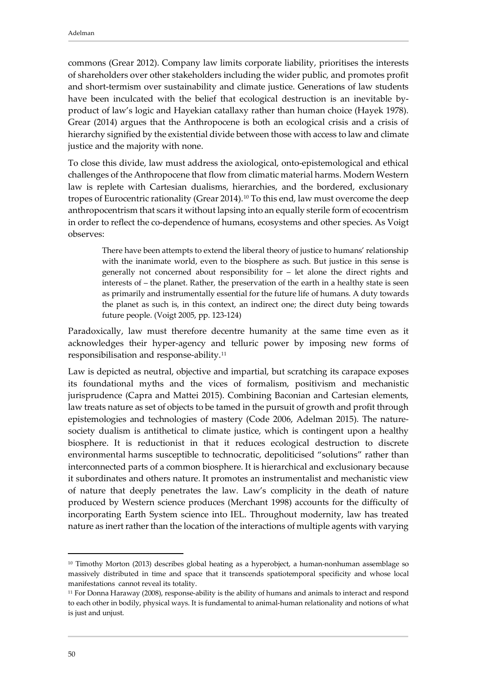commons (Grear 2012). Company law limits corporate liability, prioritises the interests of shareholders over other stakeholders including the wider public, and promotes profit and short-termism over sustainability and climate justice. Generations of law students have been inculcated with the belief that ecological destruction is an inevitable byproduct of law's logic and Hayekian catallaxy rather than human choice (Hayek 1978). Grear (2014) argues that the Anthropocene is both an ecological crisis and a crisis of hierarchy signified by the existential divide between those with access to law and climate justice and the majority with none.

To close this divide, law must address the axiological, onto-epistemological and ethical challenges of the Anthropocene that flow from climatic material harms. Modern Western law is replete with Cartesian dualisms, hierarchies, and the bordered, exclusionary tropes of Eurocentric rationality (Grear 2014).[10](#page-6-0) To this end, law must overcome the deep anthropocentrism that scars it without lapsing into an equally sterile form of ecocentrism in order to reflect the co-dependence of humans, ecosystems and other species. As Voigt observes:

There have been attempts to extend the liberal theory of justice to humans' relationship with the inanimate world, even to the biosphere as such. But justice in this sense is generally not concerned about responsibility for – let alone the direct rights and interests of – the planet. Rather, the preservation of the earth in a healthy state is seen as primarily and instrumentally essential for the future life of humans. A duty towards the planet as such is, in this context, an indirect one; the direct duty being towards future people. (Voigt 2005, pp. 123-124)

Paradoxically, law must therefore decentre humanity at the same time even as it acknowledges their hyper-agency and telluric power by imposing new forms of responsibilisation and response-ability.[11](#page-6-1)

Law is depicted as neutral, objective and impartial, but scratching its carapace exposes its foundational myths and the vices of formalism, positivism and mechanistic jurisprudence (Capra and Mattei 2015). Combining Baconian and Cartesian elements, law treats nature as set of objects to be tamed in the pursuit of growth and profit through epistemologies and technologies of mastery (Code 2006, Adelman 2015). The naturesociety dualism is antithetical to climate justice, which is contingent upon a healthy biosphere. It is reductionist in that it reduces ecological destruction to discrete environmental harms susceptible to technocratic, depoliticised "solutions" rather than interconnected parts of a common biosphere. It is hierarchical and exclusionary because it subordinates and others nature. It promotes an instrumentalist and mechanistic view of nature that deeply penetrates the law. Law's complicity in the death of nature produced by Western science produces (Merchant 1998) accounts for the difficulty of incorporating Earth System science into IEL. Throughout modernity, law has treated nature as inert rather than the location of the interactions of multiple agents with varying

<span id="page-6-0"></span><sup>&</sup>lt;sup>10</sup> Timothy Morton (2013) describes global heating as a hyperobject, a human-nonhuman assemblage so massively distributed in time and space that it transcends spatiotemporal specificity and whose local manifestations cannot reveal its totality.

<span id="page-6-1"></span><sup>&</sup>lt;sup>11</sup> For Donna Haraway (2008), response-ability is the ability of humans and animals to interact and respond to each other in bodily, physical ways. It is fundamental to animal-human relationality and notions of what is just and unjust.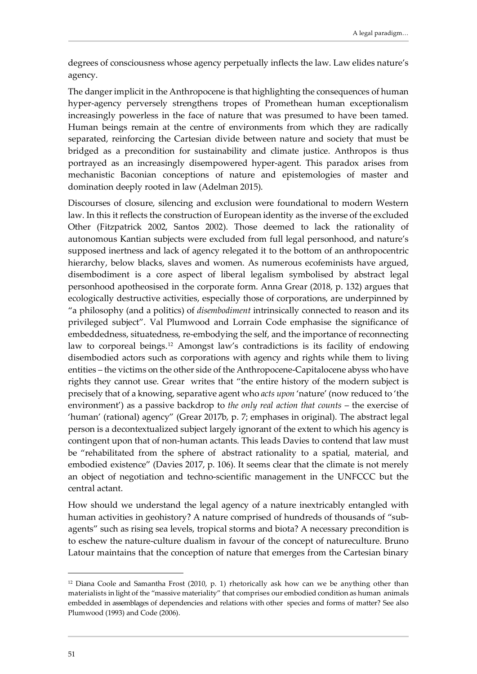degrees of consciousness whose agency perpetually inflects the law. Law elides nature's agency.

The danger implicit in the Anthropocene is that highlighting the consequences of human hyper-agency perversely strengthens tropes of Promethean human exceptionalism increasingly powerless in the face of nature that was presumed to have been tamed. Human beings remain at the centre of environments from which they are radically separated, reinforcing the Cartesian divide between nature and society that must be bridged as a precondition for sustainability and climate justice. Anthropos is thus portrayed as an increasingly disempowered hyper-agent. This paradox arises from mechanistic Baconian conceptions of nature and epistemologies of master and domination deeply rooted in law (Adelman 2015).

Discourses of closure, silencing and exclusion were foundational to modern Western law. In this it reflects the construction of European identity as the inverse of the excluded Other (Fitzpatrick 2002, Santos 2002). Those deemed to lack the rationality of autonomous Kantian subjects were excluded from full legal personhood, and nature's supposed inertness and lack of agency relegated it to the bottom of an anthropocentric hierarchy, below blacks, slaves and women. As numerous ecofeminists have argued, disembodiment is a core aspect of liberal legalism symbolised by abstract legal personhood apotheosised in the corporate form. Anna Grear (2018, p. 132) argues that ecologically destructive activities, especially those of corporations, are underpinned by "a philosophy (and a politics) of *disembodiment* intrinsically connected to reason and its privileged subject". Val Plumwood and Lorrain Code emphasise the significance of embeddedness, situatedness, re-embodying the self, and the importance of reconnecting law to corporeal beings.[12](#page-7-0) Amongst law's contradictions is its facility of endowing disembodied actors such as corporations with agency and rights while them to living entities – the victims on the other side of the Anthropocene-Capitalocene abyss who have rights they cannot use. Grear writes that "the entire history of the modern subject is precisely that of a knowing, separative agent who *acts upon* 'nature' (now reduced to 'the environment') as a passive backdrop to *the only real action that counts* – the exercise of 'human' (rational) agency" (Grear 2017b, p. 7; emphases in original). The abstract legal person is a decontextualized subject largely ignorant of the extent to which his agency is contingent upon that of non-human actants. This leads Davies to contend that law must be "rehabilitated from the sphere of abstract rationality to a spatial, material, and embodied existence" (Davies 2017, p. 106). It seems clear that the climate is not merely an object of negotiation and techno-scientific management in the UNFCCC but the central actant.

How should we understand the legal agency of a nature inextricably entangled with human activities in geohistory? A nature comprised of hundreds of thousands of "subagents" such as rising sea levels, tropical storms and biota? A necessary precondition is to eschew the nature-culture dualism in favour of the concept of natureculture. Bruno Latour maintains that the conception of nature that emerges from the Cartesian binary

<span id="page-7-0"></span><sup>12</sup> Diana Coole and Samantha Frost (2010, p. 1) rhetorically ask how can we be anything other than materialists in light of the "massive materiality" that comprises our embodied condition as human animals embedded in assemblages of dependencies and relations with other species and forms of matter? See also Plumwood (1993) and Code (2006).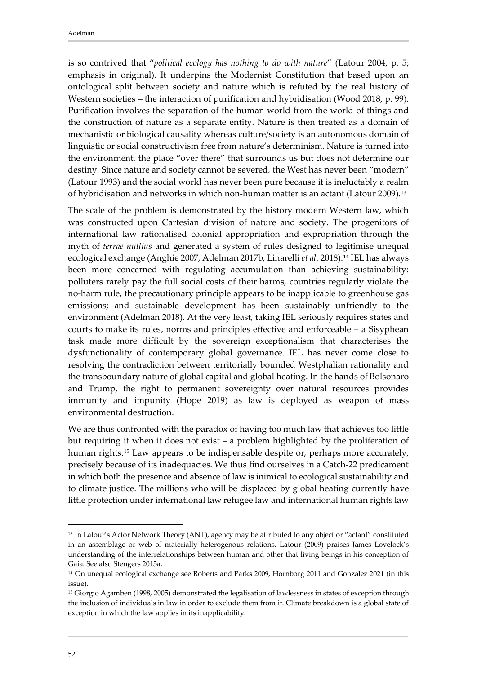is so contrived that "*political ecology has nothing to do with nature*" (Latour 2004, p. 5; emphasis in original). It underpins the Modernist Constitution that based upon an ontological split between society and nature which is refuted by the real history of Western societies – the interaction of purification and hybridisation (Wood 2018, p. 99). Purification involves the separation of the human world from the world of things and the construction of nature as a separate entity. Nature is then treated as a domain of mechanistic or biological causality whereas culture/society is an autonomous domain of linguistic or social constructivism free from nature's determinism. Nature is turned into the environment, the place "over there" that surrounds us but does not determine our destiny. Since nature and society cannot be severed, the West has never been "modern" (Latour 1993) and the social world has never been pure because it is ineluctably a realm of hybridisation and networks in which non-human matter is an actant (Latour 2009).[13](#page-8-0)

The scale of the problem is demonstrated by the history modern Western law, which was constructed upon Cartesian division of nature and society. The progenitors of international law rationalised colonial appropriation and expropriation through the myth of *terrae nullius* and generated a system of rules designed to legitimise unequal ecological exchange (Anghie 2007, Adelman 2017b, Linarelli *et al*. 2018).[14](#page-8-1) IEL has always been more concerned with regulating accumulation than achieving sustainability: polluters rarely pay the full social costs of their harms, countries regularly violate the no-harm rule, the precautionary principle appears to be inapplicable to greenhouse gas emissions; and sustainable development has been sustainably unfriendly to the environment (Adelman 2018). At the very least, taking IEL seriously requires states and courts to make its rules, norms and principles effective and enforceable – a Sisyphean task made more difficult by the sovereign exceptionalism that characterises the dysfunctionality of contemporary global governance. IEL has never come close to resolving the contradiction between territorially bounded Westphalian rationality and the transboundary nature of global capital and global heating. In the hands of Bolsonaro and Trump, the right to permanent sovereignty over natural resources provides immunity and impunity (Hope 2019) as law is deployed as weapon of mass environmental destruction.

We are thus confronted with the paradox of having too much law that achieves too little but requiring it when it does not exist – a problem highlighted by the proliferation of human rights.[15](#page-8-2) Law appears to be indispensable despite or, perhaps more accurately, precisely because of its inadequacies. We thus find ourselves in a Catch-22 predicament in which both the presence and absence of law is inimical to ecological sustainability and to climate justice. The millions who will be displaced by global heating currently have little protection under international law refugee law and international human rights law

<span id="page-8-0"></span><sup>&</sup>lt;sup>13</sup> In Latour's Actor Network Theory (ANT), agency may be attributed to any object or "actant" constituted in an assemblage or web of materially heterogenous relations. Latour (2009) praises James Lovelock's understanding of the interrelationships between human and other that living beings in his conception of Gaia. See also Stengers 2015a.

<span id="page-8-1"></span><sup>14</sup> On unequal ecological exchange see Roberts and Parks 2009, Hornborg 2011 and Gonzalez 2021 (in this issue).

<span id="page-8-2"></span><sup>15</sup> Giorgio Agamben (1998, 2005) demonstrated the legalisation of lawlessness in states of exception through the inclusion of individuals in law in order to exclude them from it. Climate breakdown is a global state of exception in which the law applies in its inapplicability.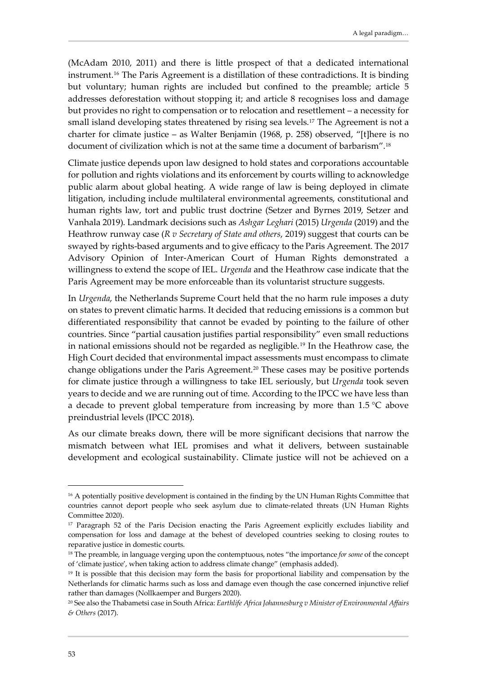(McAdam 2010, 2011) and there is little prospect of that a dedicated international instrument.[16](#page-9-0) The Paris Agreement is a distillation of these contradictions. It is binding but voluntary; human rights are included but confined to the preamble; article 5 addresses deforestation without stopping it; and article 8 recognises loss and damage but provides no right to compensation or to relocation and resettlement – a necessity for small island developing states threatened by rising sea levels.[17](#page-9-1) The Agreement is not a charter for climate justice – as Walter Benjamin (1968, p. 258) observed, "[t]here is no document of civilization which is not at the same time a document of barbarism"[.18](#page-9-2)

Climate justice depends upon law designed to hold states and corporations accountable for pollution and rights violations and its enforcement by courts willing to acknowledge public alarm about global heating. A wide range of law is being deployed in climate litigation, including include multilateral environmental agreements, constitutional and human rights law, tort and public trust doctrine (Setzer and Byrnes 2019, Setzer and Vanhala 2019). Landmark decisions such as *Ashgar Leghari* (2015) *Urgenda* (2019) and the Heathrow runway case (*R v Secretary of State and others*, 2019) suggest that courts can be swayed by rights-based arguments and to give efficacy to the Paris Agreement. The 2017 Advisory Opinion of Inter-American Court of Human Rights demonstrated a willingness to extend the scope of IEL. *Urgenda* and the Heathrow case indicate that the Paris Agreement may be more enforceable than its voluntarist structure suggests.

In *Urgenda*, the Netherlands Supreme Court held that the no harm rule imposes a duty on states to prevent climatic harms. It decided that reducing emissions is a common but differentiated responsibility that cannot be evaded by pointing to the failure of other countries. Since "partial causation justifies partial responsibility" even small reductions in national emissions should not be regarded as negligible.[19](#page-9-3) In the Heathrow case, the High Court decided that environmental impact assessments must encompass to climate change obligations under the Paris Agreement.[20](#page-9-4) These cases may be positive portends for climate justice through a willingness to take IEL seriously, but *Urgenda* took seven years to decide and we are running out of time. According to the IPCC we have less than a decade to prevent global temperature from increasing by more than 1.5 °C above preindustrial levels (IPCC 2018).

As our climate breaks down, there will be more significant decisions that narrow the mismatch between what IEL promises and what it delivers, between sustainable development and ecological sustainability. Climate justice will not be achieved on a

<span id="page-9-0"></span><sup>&</sup>lt;sup>16</sup> A potentially positive development is contained in the finding by the UN Human Rights Committee that countries cannot deport people who seek asylum due to climate-related threats (UN Human Rights Committee 2020).

<span id="page-9-1"></span><sup>&</sup>lt;sup>17</sup> Paragraph 52 of the Paris Decision enacting the Paris Agreement explicitly excludes liability and compensation for loss and damage at the behest of developed countries seeking to closing routes to reparative justice in domestic courts.

<span id="page-9-2"></span><sup>18</sup> The preamble, in language verging upon the contemptuous, notes "the importance *for some* of the concept of 'climate justice', when taking action to address climate change" (emphasis added).

<span id="page-9-3"></span><sup>19</sup> It is possible that this decision may form the basis for proportional liability and compensation by the Netherlands for climatic harms such as loss and damage even though the case concerned injunctive relief rather than damages (Nollkaemper and Burgers 2020).

<span id="page-9-4"></span><sup>20</sup> See also the Thabametsi case in South Africa: *Earthlife Africa Johannesburg v Minister of Environmental Affairs & Others* (2017).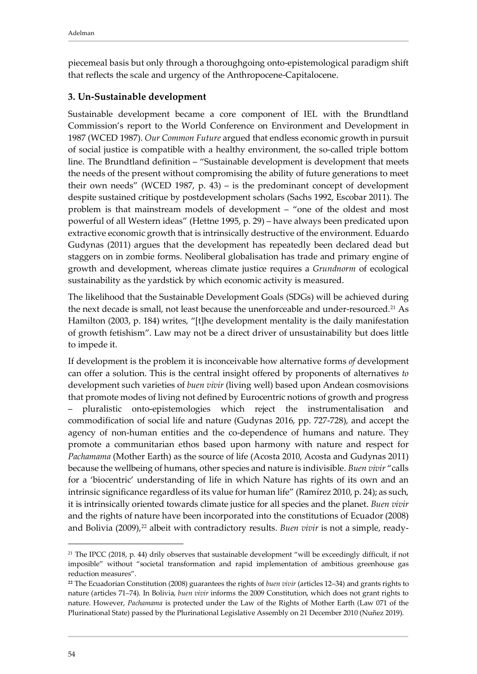piecemeal basis but only through a thoroughgoing onto-epistemological paradigm shift that reflects the scale and urgency of the Anthropocene-Capitalocene.

#### <span id="page-10-0"></span>**3. Un-Sustainable development**

Sustainable development became a core component of IEL with the Brundtland Commission's report to the World Conference on Environment and Development in 1987 (WCED 1987). *Our Common Future* argued that endless economic growth in pursuit of social justice is compatible with a healthy environment, the so-called triple bottom line. The Brundtland definition – "Sustainable development is development that meets the needs of the present without compromising the ability of future generations to meet their own needs" (WCED 1987, p. 43) – is the predominant concept of development despite sustained critique by postdevelopment scholars (Sachs 1992, Escobar 2011). The problem is that mainstream models of development – "one of the oldest and most powerful of all Western ideas" (Hettne 1995, p. 29) – have always been predicated upon extractive economic growth that is intrinsically destructive of the environment. Eduardo Gudynas (2011) argues that the development has repeatedly been declared dead but staggers on in zombie forms. Neoliberal globalisation has trade and primary engine of growth and development, whereas climate justice requires a *Grundnorm* of ecological sustainability as the yardstick by which economic activity is measured.

The likelihood that the Sustainable Development Goals (SDGs) will be achieved during the next decade is small, not least because the unenforceable and under-resourced.<sup>21</sup> As Hamilton (2003, p. 184) writes, "[t]he development mentality is the daily manifestation of growth fetishism". Law may not be a direct driver of unsustainability but does little to impede it.

If development is the problem it is inconceivable how alternative forms *of* development can offer a solution. This is the central insight offered by proponents of alternatives *to* development such varieties of *buen vivir* (living well) based upon Andean cosmovisions that promote modes of living not defined by Eurocentric notions of growth and progress – pluralistic onto-epistemologies which reject the instrumentalisation and commodification of social life and nature (Gudynas 2016, pp. 727-728), and accept the agency of non-human entities and the co-dependence of humans and nature. They promote a communitarian ethos based upon harmony with nature and respect for *Pachamama* (Mother Earth) as the source of life (Acosta 2010, Acosta and Gudynas 2011) because the wellbeing of humans, other species and nature is indivisible. *Buen vivir* "calls for a 'biocentric' understanding of life in which Nature has rights of its own and an intrinsic significance regardless of its value for human life" (Ramírez 2010, p. 24); as such, it is intrinsically oriented towards climate justice for all species and the planet. *Buen vivir* and the rights of nature have been incorporated into the constitutions of Ecuador (2008) and Bolivia (2009),<sup>[22](#page-10-2)</sup> albeit with contradictory results. *Buen vivir* is not a simple, ready-

<span id="page-10-1"></span><sup>21</sup> The IPCC (2018, p. 44) drily observes that sustainable development "will be exceedingly difficult, if not imposible" without "societal transformation and rapid implementation of ambitious greenhouse gas reduction measures".

<span id="page-10-2"></span>**<sup>22</sup>** The Ecuadorian Constitution (2008) guarantees the rights of *buen vivir* (articles 12–34) and grants rights to nature (articles 71–74). In Bolivia, *buen vivir* informs the 2009 Constitution, which does not grant rights to nature. However, *Pachamama* is protected under the Law of the Rights of Mother Earth (Law 071 of the Plurinational State) passed by the Plurinational Legislative Assembly on 21 December 2010 (Nuñez 2019).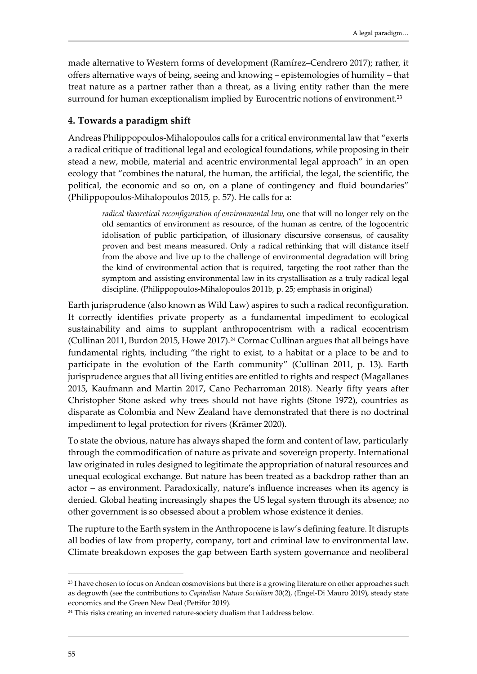made alternative to Western forms of development (Ramírez–Cendrero 2017); rather, it offers alternative ways of being, seeing and knowing – epistemologies of humility – that treat nature as a partner rather than a threat, as a living entity rather than the mere surround for human exceptionalism implied by Eurocentric notions of environment.<sup>[23](#page-11-1)</sup>

## <span id="page-11-0"></span>**4. Towards a paradigm shift**

Andreas Philippopoulos-Mihalopoulos calls for a critical environmental law that "exerts a radical critique of traditional legal and ecological foundations, while proposing in their stead a new, mobile, material and acentric environmental legal approach" in an open ecology that "combines the natural, the human, the artificial, the legal, the scientific, the political, the economic and so on, on a plane of contingency and fluid boundaries" (Philippopoulos-Mihalopoulos 2015, p. 57). He calls for a:

*radical theoretical reconfiguration of environmental law, one that will no longer rely on the* old semantics of environment as resource, of the human as centre, of the logocentric idolisation of public participation, of illusionary discursive consensus, of causality proven and best means measured. Only a radical rethinking that will distance itself from the above and live up to the challenge of environmental degradation will bring the kind of environmental action that is required, targeting the root rather than the symptom and assisting environmental law in its crystallisation as a truly radical legal discipline. (Philippopoulos-Mihalopoulos 2011b, p. 25; emphasis in original)

Earth jurisprudence (also known as Wild Law) aspires to such a radical reconfiguration. It correctly identifies private property as a fundamental impediment to ecological sustainability and aims to supplant anthropocentrism with a radical ecocentrism (Cullinan 2011, Burdon 2015, Howe 2017).<sup>[24](#page-11-2)</sup> Cormac Cullinan argues that all beings have fundamental rights, including "the right to exist, to a habitat or a place to be and to participate in the evolution of the Earth community" (Cullinan 2011, p. 13). Earth jurisprudence argues that all living entities are entitled to rights and respect (Magallanes 2015, Kaufmann and Martin 2017, Cano Pecharroman 2018). Nearly fifty years after Christopher Stone asked why trees should not have rights (Stone 1972), countries as disparate as Colombia and New Zealand have demonstrated that there is no doctrinal impediment to legal protection for rivers (Krämer 2020).

To state the obvious, nature has always shaped the form and content of law, particularly through the commodification of nature as private and sovereign property. International law originated in rules designed to legitimate the appropriation of natural resources and unequal ecological exchange. But nature has been treated as a backdrop rather than an actor – as environment. Paradoxically, nature's influence increases when its agency is denied. Global heating increasingly shapes the US legal system through its absence; no other government is so obsessed about a problem whose existence it denies.

The rupture to the Earth system in the Anthropocene is law's defining feature. It disrupts all bodies of law from property, company, tort and criminal law to environmental law. Climate breakdown exposes the gap between Earth system governance and neoliberal

<span id="page-11-1"></span><sup>&</sup>lt;sup>23</sup> I have chosen to focus on Andean cosmovisions but there is a growing literature on other approaches such as degrowth (see the contributions to *Capitalism Nature Socialism* 30(2), (Engel-Di Mauro 2019), steady state economics and the Green New Deal (Pettifor 2019).

<span id="page-11-2"></span><sup>&</sup>lt;sup>24</sup> This risks creating an inverted nature-society dualism that I address below.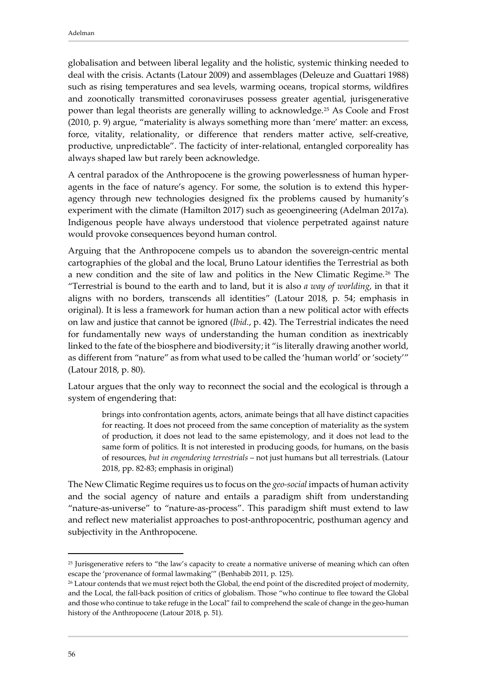globalisation and between liberal legality and the holistic, systemic thinking needed to deal with the crisis. Actants (Latour 2009) and assemblages (Deleuze and Guattari 1988) such as rising temperatures and sea levels, warming oceans, tropical storms, wildfires and zoonotically transmitted coronaviruses possess greater agential, jurisgenerative power than legal theorists are generally willing to acknowledge[.25](#page-12-0) As Coole and Frost (2010, p. 9) argue, "materiality is always something more than 'mere' matter: an excess, force, vitality, relationality, or difference that renders matter active, self-creative, productive, unpredictable". The facticity of inter-relational, entangled corporeality has always shaped law but rarely been acknowledge.

A central paradox of the Anthropocene is the growing powerlessness of human hyperagents in the face of nature's agency. For some, the solution is to extend this hyperagency through new technologies designed fix the problems caused by humanity's experiment with the climate (Hamilton 2017) such as geoengineering (Adelman 2017a). Indigenous people have always understood that violence perpetrated against nature would provoke consequences beyond human control.

Arguing that the Anthropocene compels us to abandon the sovereign-centric mental cartographies of the global and the local, Bruno Latour identifies the Terrestrial as both a new condition and the site of law and politics in the New Climatic Regime.[26](#page-12-1) The "Terrestrial is bound to the earth and to land, but it is also *a way of worlding*, in that it aligns with no borders, transcends all identities" (Latour 2018, p. 54; emphasis in original). It is less a framework for human action than a new political actor with effects on law and justice that cannot be ignored (*Ibid.*, p. 42). The Terrestrial indicates the need for fundamentally new ways of understanding the human condition as inextricably linked to the fate of the biosphere and biodiversity; it "is literally drawing another world, as different from "nature" as from what used to be called the 'human world' or 'society'" (Latour 2018, p. 80).

Latour argues that the only way to reconnect the social and the ecological is through a system of engendering that:

brings into confrontation agents, actors, animate beings that all have distinct capacities for reacting. It does not proceed from the same conception of materiality as the system of production, it does not lead to the same epistemology, and it does not lead to the same form of politics. It is not interested in producing goods, for humans, on the basis of resources, *but in engendering terrestrials* – not just humans but all terrestrials. (Latour 2018, pp. 82-83; emphasis in original)

The New Climatic Regime requires us to focus on the *geo-social* impacts of human activity and the social agency of nature and entails a paradigm shift from understanding "nature-as-universe" to "nature-as-process". This paradigm shift must extend to law and reflect new materialist approaches to post-anthropocentric, posthuman agency and subjectivity in the Anthropocene.

<span id="page-12-0"></span><sup>&</sup>lt;sup>25</sup> Jurisgenerative refers to "the law's capacity to create a normative universe of meaning which can often escape the 'provenance of formal lawmaking'" (Benhabib 2011, p. 125).

<span id="page-12-1"></span><sup>&</sup>lt;sup>26</sup> Latour contends that we must reject both the Global, the end point of the discredited project of modernity, and the Local, the fall-back position of critics of globalism. Those "who continue to flee toward the Global and those who continue to take refuge in the Local" fail to comprehend the scale of change in the geo-human history of the Anthropocene (Latour 2018, p. 51).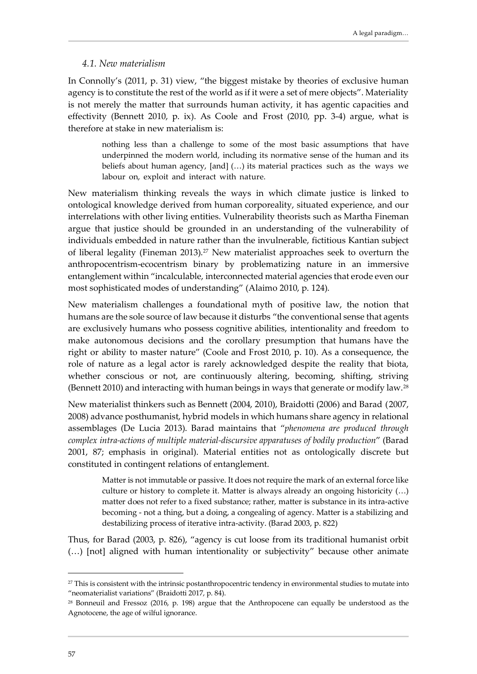#### <span id="page-13-0"></span>*4.1. New materialism*

In Connolly's (2011, p. 31) view, "the biggest mistake by theories of exclusive human agency is to constitute the rest of the world as if it were a set of mere objects". Materiality is not merely the matter that surrounds human activity, it has agentic capacities and effectivity (Bennett 2010, p. ix). As Coole and Frost (2010, pp. 3-4) argue, what is therefore at stake in new materialism is:

nothing less than a challenge to some of the most basic assumptions that have underpinned the modern world, including its normative sense of the human and its beliefs about human agency, [and] (…) its material practices such as the ways we labour on, exploit and interact with nature.

New materialism thinking reveals the ways in which climate justice is linked to ontological knowledge derived from human corporeality, situated experience, and our interrelations with other living entities. Vulnerability theorists such as Martha Fineman argue that justice should be grounded in an understanding of the vulnerability of individuals embedded in nature rather than the invulnerable, fictitious Kantian subject of liberal legality (Fineman 2013).[27](#page-13-1) New materialist approaches seek to overturn the anthropocentrism-ecocentrism binary by problematizing nature in an immersive entanglement within "incalculable, interconnected material agencies that erode even our most sophisticated modes of understanding" (Alaimo 2010, p. 124).

New materialism challenges a foundational myth of positive law, the notion that humans are the sole source of law because it disturbs "the conventional sense that agents are exclusively humans who possess cognitive abilities, intentionality and freedom to make autonomous decisions and the corollary presumption that humans have the right or ability to master nature" (Coole and Frost 2010, p. 10). As a consequence, the role of nature as a legal actor is rarely acknowledged despite the reality that biota, whether conscious or not, are continuously altering, becoming, shifting, striving (Bennett 2010) and interacting with human beings in ways that generate or modify law.[28](#page-13-2)

New materialist thinkers such as Bennett (2004, 2010), Braidotti (2006) and Barad (2007, 2008) advance posthumanist, hybrid models in which humans share agency in relational assemblages (De Lucia 2013). Barad maintains that "*phenomena are produced through complex intra-actions of multiple material-discursive apparatuses of bodily production*" (Barad 2001, 87; emphasis in original). Material entities not as ontologically discrete but constituted in contingent relations of entanglement.

Matter is not immutable or passive. It does not require the mark of an external force like culture or history to complete it. Matter is always already an ongoing historicity (…) matter does not refer to a fixed substance; rather, matter is substance in its intra-active becoming - not a thing, but a doing, a congealing of agency. Matter is a stabilizing and destabilizing process of iterative intra-activity. (Barad 2003, p. 822)

Thus, for Barad (2003, p. 826), "agency is cut loose from its traditional humanist orbit (…) [not] aligned with human intentionality or subjectivity" because other animate

<span id="page-13-1"></span><sup>&</sup>lt;sup>27</sup> This is consistent with the intrinsic postanthropocentric tendency in environmental studies to mutate into "neomaterialist variations" (Braidotti 2017, p. 84).

<span id="page-13-2"></span><sup>28</sup> Bonneuil and Fressoz (2016, p. 198) argue that the Anthropocene can equally be understood as the Agnotocene, the age of wilful ignorance.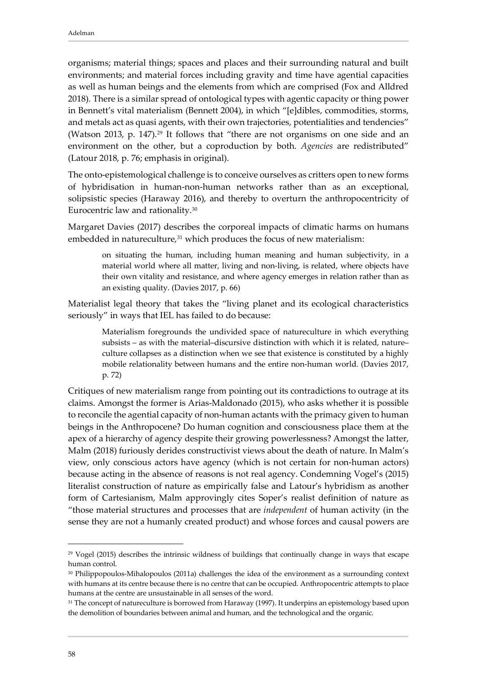organisms; material things; spaces and places and their surrounding natural and built environments; and material forces including gravity and time have agential capacities as well as human beings and the elements from which are comprised (Fox and Alldred 2018). There is a similar spread of ontological types with agentic capacity or thing power in Bennett's vital materialism (Bennett 2004), in which "[e]dibles, commodities, storms, and metals act as quasi agents, with their own trajectories, potentialities and tendencies" (Watson 2013, p. 147).<sup>[29](#page-14-0)</sup> It follows that "there are not organisms on one side and an environment on the other, but a coproduction by both. *Agencies* are redistributed" (Latour 2018, p. 76; emphasis in original).

The onto-epistemological challenge is to conceive ourselves as critters open to new forms of hybridisation in human-non-human networks rather than as an exceptional, solipsistic species (Haraway 2016), and thereby to overturn the anthropocentricity of Eurocentric law and rationality.[30](#page-14-1)

Margaret Davies (2017) describes the corporeal impacts of climatic harms on humans embedded in natureculture,<sup>[31](#page-14-2)</sup> which produces the focus of new materialism:

on situating the human, including human meaning and human subjectivity, in a material world where all matter, living and non-living, is related, where objects have their own vitality and resistance, and where agency emerges in relation rather than as an existing quality. (Davies 2017, p. 66)

Materialist legal theory that takes the "living planet and its ecological characteristics seriously" in ways that IEL has failed to do because:

Materialism foregrounds the undivided space of natureculture in which everything subsists – as with the material–discursive distinction with which it is related, nature– culture collapses as a distinction when we see that existence is constituted by a highly mobile relationality between humans and the entire non-human world. (Davies 2017, p. 72)

Critiques of new materialism range from pointing out its contradictions to outrage at its claims. Amongst the former is Arias-Maldonado (2015), who asks whether it is possible to reconcile the agential capacity of non-human actants with the primacy given to human beings in the Anthropocene? Do human cognition and consciousness place them at the apex of a hierarchy of agency despite their growing powerlessness? Amongst the latter, Malm (2018) furiously derides constructivist views about the death of nature. In Malm's view, only conscious actors have agency (which is not certain for non-human actors) because acting in the absence of reasons is not real agency. Condemning Vogel's (2015) literalist construction of nature as empirically false and Latour's hybridism as another form of Cartesianism, Malm approvingly cites Soper's realist definition of nature as "those material structures and processes that are *independent* of human activity (in the sense they are not a humanly created product) and whose forces and causal powers are

<span id="page-14-0"></span><sup>29</sup> Vogel (2015) describes the intrinsic wildness of buildings that continually change in ways that escape human control.

<span id="page-14-1"></span><sup>30</sup> Philippopoulos-Mihalopoulos (2011a) challenges the idea of the environment as a surrounding context with humans at its centre because there is no centre that can be occupied. Anthropocentric attempts to place humans at the centre are unsustainable in all senses of the word.

<span id="page-14-2"></span><sup>&</sup>lt;sup>31</sup> The concept of natureculture is borrowed from Haraway (1997). It underpins an epistemology based upon the demolition of boundaries between animal and human, and the technological and the organic.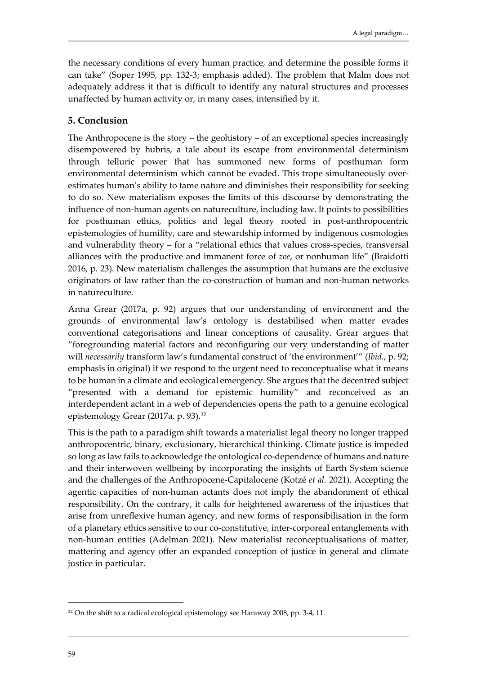the necessary conditions of every human practice, and determine the possible forms it can take" (Soper 1995, pp. 132-3; emphasis added). The problem that Malm does not adequately address it that is difficult to identify any natural structures and processes unaffected by human activity or, in many cases, intensified by it.

#### <span id="page-15-0"></span>**5. Conclusion**

The Anthropocene is the story – the geohistory – of an exceptional species increasingly disempowered by hubris, a tale about its escape from environmental determinism through telluric power that has summoned new forms of posthuman form environmental determinism which cannot be evaded. This trope simultaneously overestimates human's ability to tame nature and diminishes their responsibility for seeking to do so. New materialism exposes the limits of this discourse by demonstrating the influence of non-human agents on natureculture, including law. It points to possibilities for posthuman ethics, politics and legal theory rooted in post-anthropocentric epistemologies of humility, care and stewardship informed by indigenous cosmologies and vulnerability theory – for a "relational ethics that values cross-species, transversal alliances with the productive and immanent force of *zoe*, or nonhuman life" (Braidotti 2016, p. 23). New materialism challenges the assumption that humans are the exclusive originators of law rather than the co-construction of human and non-human networks in natureculture.

Anna Grear (2017a, p. 92) argues that our understanding of environment and the grounds of environmental law's ontology is destabilised when matter evades conventional categorisations and linear conceptions of causality. Grear argues that "foregrounding material factors and reconfiguring our very understanding of matter will *necessarily* transform law's fundamental construct of 'the environment'" (*Ibid.*, p. 92; emphasis in original) if we respond to the urgent need to reconceptualise what it means to be human in a climate and ecological emergency. She argues that the decentred subject "presented with a demand for epistemic humility" and reconceived as an interdependent actant in a web of dependencies opens the path to a genuine ecological epistemology Grear (2017a, p. 93).[32](#page-15-1)

This is the path to a paradigm shift towards a materialist legal theory no longer trapped anthropocentric, binary, exclusionary, hierarchical thinking. Climate justice is impeded so long as law fails to acknowledge the ontological co-dependence of humans and nature and their interwoven wellbeing by incorporating the insights of Earth System science and the challenges of the Anthropocene-Capitalocene (Kotzé *et al*. 2021). Accepting the agentic capacities of non-human actants does not imply the abandonment of ethical responsibility. On the contrary, it calls for heightened awareness of the injustices that arise from unreflexive human agency, and new forms of responsibilisation in the form of a planetary ethics sensitive to our co-constitutive, inter-corporeal entanglements with non-human entities (Adelman 2021). New materialist reconceptualisations of matter, mattering and agency offer an expanded conception of justice in general and climate justice in particular.

<span id="page-15-1"></span><sup>&</sup>lt;sup>32</sup> On the shift to a radical ecological epistemology see Haraway 2008, pp. 3-4, 11.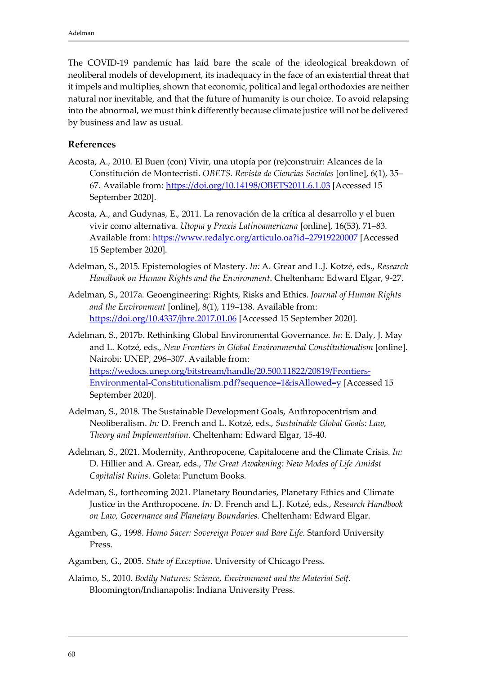The COVID-19 pandemic has laid bare the scale of the ideological breakdown of neoliberal models of development, its inadequacy in the face of an existential threat that it impels and multiplies, shown that economic, political and legal orthodoxies are neither natural nor inevitable, and that the future of humanity is our choice. To avoid relapsing into the abnormal, we must think differently because climate justice will not be delivered by business and law as usual.

#### <span id="page-16-0"></span>**References**

- Acosta, A., 2010. El Buen (con) Vivir, una utopía por (re)construir: Alcances de la Constitución de Montecristi. *OBETS. Revista de Ciencias Sociales* [online], 6(1), 35– 67. Available from:<https://doi.org/10.14198/OBETS2011.6.1.03> [Accessed 15 September 2020].
- Acosta, A., and Gudynas, E., 2011. La renovación de la crítica al desarrollo y el buen vivir como alternativa. *Utopıa y Praxis Latinoamericana* [online], 16(53), 71–83. Available from:<https://www.redalyc.org/articulo.oa?id=27919220007> [Accessed 15 September 2020].
- Adelman, S., 2015. Epistemologies of Mastery. *In:* A. Grear and L.J. Kotzé, eds., *Research Handbook on Human Rights and the Environment*. Cheltenham: Edward Elgar, 9-27.
- Adelman, S., 2017a. Geoengineering: Rights, Risks and Ethics. *Journal of Human Rights and the Environment* [online], 8(1), 119–138. Available from: <https://doi.org/10.4337/jhre.2017.01.06> [Accessed 15 September 2020].
- Adelman, S., 2017b. Rethinking Global Environmental Governance. *In:* E. Daly, J. May and L. Kotzé, eds., *New Frontiers in Global Environmental Constitutionalism* [online]. Nairobi: UNEP, 296–307. Available from: [https://wedocs.unep.org/bitstream/handle/20.500.11822/20819/Frontiers-](https://wedocs.unep.org/bitstream/handle/20.500.11822/20819/Frontiers-Environmental-Constitutionalism.pdf?sequence=1&isAllowed=y)[Environmental-Constitutionalism.pdf?sequence=1&isAllowed=y](https://wedocs.unep.org/bitstream/handle/20.500.11822/20819/Frontiers-Environmental-Constitutionalism.pdf?sequence=1&isAllowed=y) [Accessed 15 September 2020].
- Adelman, S., 2018. The Sustainable Development Goals, Anthropocentrism and Neoliberalism. *In:* D. French and L. Kotzé, eds., *Sustainable Global Goals: Law, Theory and Implementation*. Cheltenham: Edward Elgar, 15-40.
- Adelman, S., 2021. Modernity, Anthropocene, Capitalocene and the Climate Crisis. *In:* D. Hillier and A. Grear, eds., *The Great Awakening: New Modes of Life Amidst Capitalist Ruins*. Goleta: Punctum Books.
- Adelman, S., forthcoming 2021. Planetary Boundaries, Planetary Ethics and Climate Justice in the Anthropocene. *In:* D. French and L.J. Kotzé, eds., *Research Handbook on Law, Governance and Planetary Boundaries*. Cheltenham: Edward Elgar.
- Agamben, G., 1998. *Homo Sacer: Sovereign Power and Bare Life*. Stanford University Press.
- Agamben, G., 2005. *State of Exception*. University of Chicago Press.
- Alaimo, S., 2010. *Bodily Natures: Science, Environment and the Material Self*. Bloomington/Indianapolis: Indiana University Press.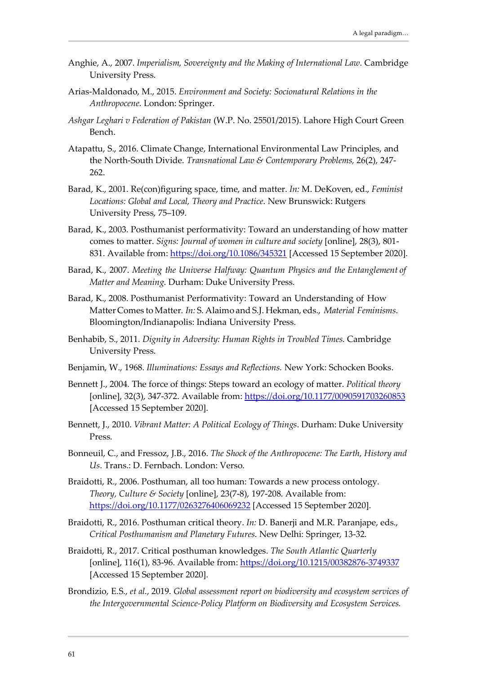- Anghie, A., 2007. *Imperialism, Sovereignty and the Making of International Law*. Cambridge University Press.
- Arias-Maldonado, M., 2015. *Environment and Society: Socionatural Relations in the Anthropocene*. London: Springer.
- *Ashgar Leghari v Federation of Pakistan* (W.P. No. 25501/2015). Lahore High Court Green Bench.
- Atapattu, S., 2016. Climate Change, International Environmental Law Principles, and the North-South Divide. *Transnational Law & Contemporary Problems,* 26(2), 247- 262.
- Barad, K., 2001. Re(con)figuring space, time, and matter. *In:* M. DeKoven, ed., *Feminist Locations: Global and Local, Theory and Practice*. New Brunswick: Rutgers University Press, 75–109.
- Barad, K., 2003. Posthumanist performativity: Toward an understanding of how matter comes to matter. *Signs: Journal of women in culture and society* [online], 28(3), 801- 831. Available from:<https://doi.org/10.1086/345321> [Accessed 15 September 2020].
- Barad, K., 2007. *Meeting the Universe Halfway: Quantum Physics and the Entanglement of Matter and Meaning*. Durham: Duke University Press.
- Barad, K., 2008. Posthumanist Performativity: Toward an Understanding of How Matter Comes toMatter. *In:* S. Alaimo and S.J. Hekman, eds., *Material Feminisms*. Bloomington/Indianapolis: Indiana University Press.
- Benhabib, S., 2011. *Dignity in Adversity: Human Rights in Troubled Times*. Cambridge University Press.
- Benjamin, W., 1968. *Illuminations: Essays and Reflections.* New York: Schocken Books.
- Bennett J., 2004. The force of things: Steps toward an ecology of matter. *Political theory* [online], 32(3), 347-372. Available from:<https://doi.org/10.1177/0090591703260853> [Accessed 15 September 2020].
- Bennett, J., 2010. *Vibrant Matter: A Political Ecology of Things*. Durham: Duke University Press.
- Bonneuil, C., and Fressoz, J.B., 2016. *The Shock of the Anthropocene: The Earth, History and Us*. Trans.: D. Fernbach. London: Verso.
- Braidotti, R., 2006. Posthuman, all too human: Towards a new process ontology. *Theory, Culture & Society* [online], 23(7-8), 197-208. Available from: <https://doi.org/10.1177/0263276406069232> [Accessed 15 September 2020].
- Braidotti, R., 2016. Posthuman critical theory. *In:* D. Banerji and M.R. Paranjape, eds., *Critical Posthumanism and Planetary Futures*. New Delhi: Springer, 13-32.
- Braidotti, R., 2017. Critical posthuman knowledges. *The South Atlantic Quarterly* [online], 116(1), 83-96. Available from:<https://doi.org/10.1215/00382876-3749337> [Accessed 15 September 2020].
- Brondizio, E.S., *et al*., 2019. *Global assessment report on biodiversity and ecosystem services of the Intergovernmental Science-Policy Platform on Biodiversity and Ecosystem Services.*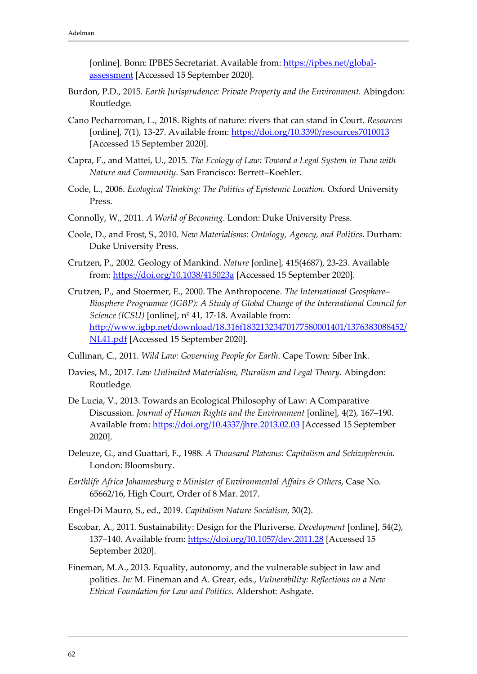[online]. Bonn: IPBES Secretariat. Available from: [https://ipbes.net/global](https://ipbes.net/global-assessment)[assessment](https://ipbes.net/global-assessment) [Accessed 15 September 2020].

- Burdon, P.D., 2015. *Earth Jurisprudence: Private Property and the Environment*. Abingdon: Routledge.
- Cano Pecharroman, L., 2018. Rights of nature: rivers that can stand in Court. *Resources* [online], 7(1), 13-27. Available from:<https://doi.org/10.3390/resources7010013> [Accessed 15 September 2020].
- Capra, F., and Mattei, U., 2015. *The Ecology of Law: Toward a Legal System in Tune with Nature and Community*. San Francisco: Berrett–Koehler.
- Code, L., 2006. *Ecological Thinking: The Politics of Epistemic Location.* Oxford University Press.
- Connolly, W., 2011. *A World of Becoming*. London: Duke University Press.
- Coole, D., and Frost, S., 2010. *New Materialisms: Ontology, Agency, and Politics*. Durham: Duke University Press.
- Crutzen, P., 2002. Geology of Mankind. *Nature* [online], 415(4687), 23-23. Available from:<https://doi.org/10.1038/415023a> [Accessed 15 September 2020].
- Crutzen, P., and Stoermer, E., 2000. The Anthropocene. *The International Geosphere– Biosphere Programme (IGBP): A Study of Global Change of the International Council for Science (ICSU)* [online], nº 41, 17-18. Available from: [http://www.igbp.net/download/18.316f18321323470177580001401/1376383088452/](http://www.igbp.net/download/18.316f18321323470177580001401/1376383088452/NL41.pdf) [NL41.pdf](http://www.igbp.net/download/18.316f18321323470177580001401/1376383088452/NL41.pdf) [Accessed 15 September 2020].
- Cullinan, C., 2011. *Wild Law: Governing People for Earth*. Cape Town: Siber Ink.
- Davies, M., 2017. *Law Unlimited Materialism, Pluralism and Legal Theory*. Abingdon: Routledge.
- De Lucia, V., 2013. Towards an Ecological Philosophy of Law: A Comparative Discussion. *Journal of Human Rights and the Environment* [online], 4(2), 167–190. Available from:<https://doi.org/10.4337/jhre.2013.02.03> [Accessed 15 September 2020].
- Deleuze, G., and Guattari, F., 1988. *A Thousand Plateaus: Capitalism and Schizophrenia*. London: Bloomsbury.
- *Earthlife Africa Johannesburg v Minister of Environmental Affairs & Others*, Case No. 65662/16, High Court, Order of 8 Mar. 2017.
- Engel-Di Mauro, S., ed., 2019. *Capitalism Nature Socialism,* 30(2).
- Escobar, A., 2011. Sustainability: Design for the Pluriverse. *Development* [online], 54(2), 137–140. Available from:<https://doi.org/10.1057/dev.2011.28> [Accessed 15 September 2020].
- Fineman, M.A., 2013. Equality, autonomy, and the vulnerable subject in law and politics. *In:* M. Fineman and A. Grear, eds., *Vulnerability: Reflections on a New Ethical Foundation for Law and Politics*. Aldershot: Ashgate.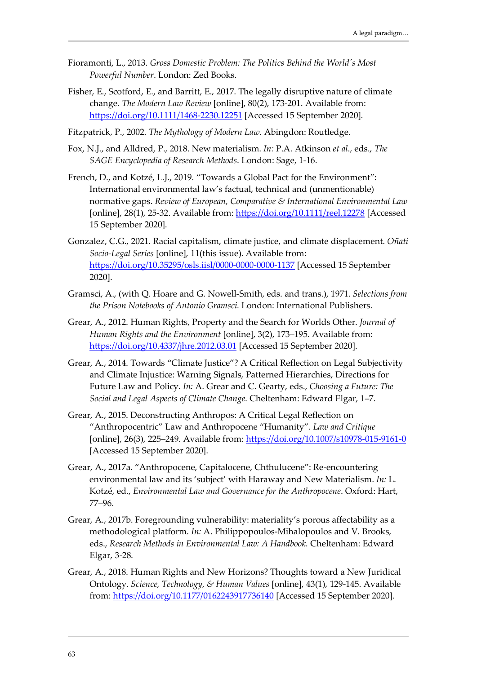- Fioramonti, L., 2013. *Gross Domestic Problem: The Politics Behind the World's Most Powerful Number*. London: Zed Books.
- Fisher, E., Scotford, E., and Barritt, E., 2017. The legally disruptive nature of climate change. *The Modern Law Review* [online], 80(2), 173-201. Available from: <https://doi.org/10.1111/1468-2230.12251> [Accessed 15 September 2020].
- Fitzpatrick, P., 2002. *The Mythology of Modern Law*. Abingdon: Routledge.
- Fox, N.J., and Alldred, P., 2018. New materialism. *In:* P.A. Atkinson *et al*., eds., *The SAGE Encyclopedia of Research Methods*. London: Sage, 1-16.
- French, D., and Kotzé, L.J., 2019. "Towards a Global Pact for the Environment": International environmental law's factual, technical and (unmentionable) normative gaps. *Review of European, Comparative & International Environmental Law* [online], 28(1), 25-32. Available from:<https://doi.org/10.1111/reel.12278> [Accessed 15 September 2020].
- Gonzalez, C.G., 2021. Racial capitalism, climate justice, and climate displacement. *Oñati Socio-Legal Series* [online], 11(this issue). Available from: <https://doi.org/10.35295/osls.iisl/0000-0000-0000-1137> [Accessed 15 September 2020].
- Gramsci, A., (with Q. Hoare and G. Nowell-Smith, eds. and trans.), 1971. *Selections from the Prison Notebooks of Antonio Gramsci.* London: International Publishers.
- Grear, A., 2012. Human Rights, Property and the Search for Worlds Other. *Journal of Human Rights and the Environment* [online], 3(2), 173–195. Available from: <https://doi.org/10.4337/jhre.2012.03.01> [Accessed 15 September 2020].
- Grear, A., 2014. Towards "Climate Justice"? A Critical Reflection on Legal Subjectivity and Climate Injustice: Warning Signals, Patterned Hierarchies, Directions for Future Law and Policy. *In:* A. Grear and C. Gearty, eds., *Choosing a Future: The Social and Legal Aspects of Climate Change*. Cheltenham: Edward Elgar, 1–7.
- Grear, A., 2015. Deconstructing Anthropos: A Critical Legal Reflection on "Anthropocentric" Law and Anthropocene "Humanity". *Law and Critique* [online], 26(3), 225–249. Available from:<https://doi.org/10.1007/s10978-015-9161-0> [Accessed 15 September 2020].
- Grear, A., 2017a. "Anthropocene, Capitalocene, Chthulucene": Re-encountering environmental law and its 'subject' with Haraway and New Materialism. *In:* L. Kotzé, ed., *Environmental Law and Governance for the Anthropocene*. Oxford: Hart, 77–96.
- Grear, A., 2017b. Foregrounding vulnerability: materiality's porous affectability as a methodological platform. *In:* A. Philippopoulos-Mihalopoulos and V. Brooks, eds., *Research Methods in Environmental Law: A Handbook*. Cheltenham: Edward Elgar, 3-28.
- Grear, A., 2018. Human Rights and New Horizons? Thoughts toward a New Juridical Ontology. *Science, Technology, & Human Values* [online], 43(1), 129-145. Available from:<https://doi.org/10.1177/0162243917736140> [Accessed 15 September 2020].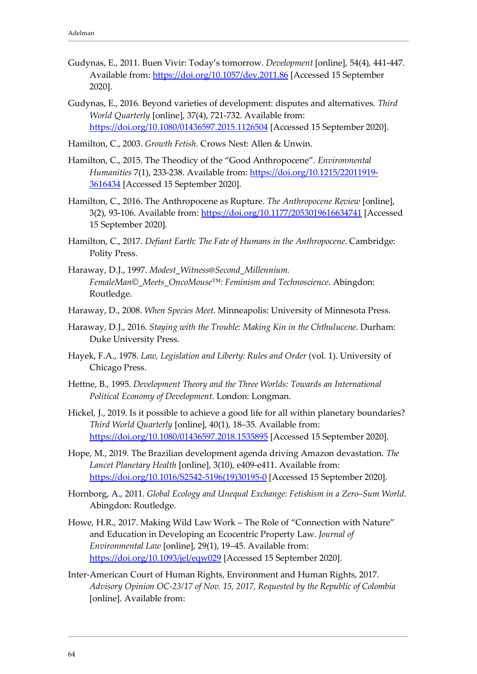- Gudynas, E., 2011. Buen Vivir: Today's tomorrow. *Development* [online], 54(4), 441-447. Available from:<https://doi.org/10.1057/dev.2011.86> [Accessed 15 September 2020].
- Gudynas, E., 2016. Beyond varieties of development: disputes and alternatives. *Third World Quarterly* [online], 37(4), 721-732. Available from: <https://doi.org/10.1080/01436597.2015.1126504> [Accessed 15 September 2020].
- Hamilton, C., 2003. *Growth Fetish*. Crows Nest: Allen & Unwin.
- Hamilton, C., 2015. The Theodicy of the "Good Anthropocene". *Environmental Humanities* 7(1), 233-238. Available from: [https://doi.org/10.1215/22011919-](https://doi.org/10.1215/22011919-3616434) [3616434](https://doi.org/10.1215/22011919-3616434) [Accessed 15 September 2020].
- Hamilton, C., 2016. The Anthropocene as Rupture. *The Anthropocene Review* [online], 3(2), 93-106. Available from:<https://doi.org/10.1177/2053019616634741> [Accessed 15 September 2020].
- Hamilton, C., 2017. *Defiant Earth: The Fate of Humans in the Anthropocene*. Cambridge: Polity Press.
- Haraway, D.J., 1997. *Modest\_Witness@Second\_Millennium. FemaleMan©\_Meets\_OncoMouse™: Feminism and Technoscience*. Abingdon: Routledge.
- Haraway, D., 2008. *When Species Meet*. Minneapolis: University of Minnesota Press.
- Haraway, D.J., 2016. *Staying with the Trouble: Making Kin in the Chthulucene*. Durham: Duke University Press.
- Hayek, F.A., 1978. *Law, Legislation and Liberty: Rules and Order* (vol. 1). University of Chicago Press.
- Hettne, B., 1995. *Development Theory and the Three Worlds: Towards an International Political Economy of Development*. London: Longman.
- Hickel, J., 2019. Is it possible to achieve a good life for all within planetary boundaries? *Third World Quarterly* [online], 40(1), 18–35. Available from: <https://doi.org/10.1080/01436597.2018.1535895> [Accessed 15 September 2020].
- Hope, M., 2019. The Brazilian development agenda driving Amazon devastation. *The Lancet Planetary Health* [online], 3(10), e409-e411. Available from: [https://doi.org/10.1016/S2542-5196\(19\)30195-0](https://doi.org/10.1016/S2542-5196(19)30195-0) [Accessed 15 September 2020].
- Hornborg, A., 2011. *Global Ecology and Unequal Exchange: Fetishism in a Zero–Sum World*. Abingdon: Routledge.
- Howe, H.R., 2017. Making Wild Law Work The Role of "Connection with Nature" and Education in Developing an Ecocentric Property Law. *Journal of Environmental Law* [online], 29(1), 19–45. Available from: <https://doi.org/10.1093/jel/eqw029> [Accessed 15 September 2020].
- Inter-American Court of Human Rights, Environment and Human Rights, 2017. *Advisory Opinion OC-23/17 of Nov. 15, 2017, Requested by the Republic of Colombia* [online]. Available from: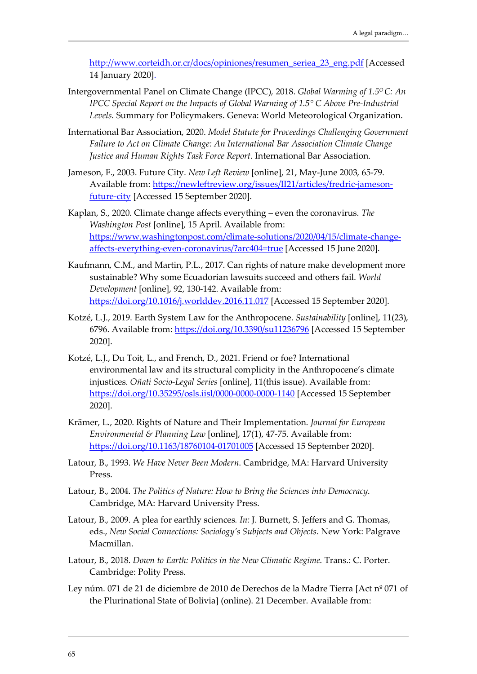[http://www.corteidh.or.cr/docs/opiniones/resumen\\_seriea\\_23\\_eng.pdf](http://www.corteidh.or.cr/docs/opiniones/resumen_seriea_23_eng.pdf) [Accessed 14 January 2020].

- Intergovernmental Panel on Climate Change (IPCC)*,* 2018. *Global Warming of 1.5O C: An IPCC Special Report on the Impacts of Global Warming of 1.5° C Above Pre-Industrial Levels*. Summary for Policymakers. Geneva: World Meteorological Organization.
- International Bar Association, 2020. *Model Statute for Proceedings Challenging Government Failure to Act on Climate Change: An International Bar Association Climate Change Justice and Human Rights Task Force Report*. International Bar Association.
- Jameson, F., 2003. Future City. *New Left Review* [online], 21, May-June 2003, 65-79. Available from: [https://newleftreview.org/issues/II21/articles/fredric-jameson](https://newleftreview.org/issues/II21/articles/fredric-jameson-future-city)[future-city](https://newleftreview.org/issues/II21/articles/fredric-jameson-future-city) [Accessed 15 September 2020].
- Kaplan, S., 2020. Climate change affects everything even the coronavirus. *The Washington Post* [online], 15 April. Available from: [https://www.washingtonpost.com/climate-solutions/2020/04/15/climate-change](https://www.washingtonpost.com/climate-solutions/2020/04/15/climate-change-affects-everything-even-coronavirus/?arc404=true)[affects-everything-even-coronavirus/?arc404=true](https://www.washingtonpost.com/climate-solutions/2020/04/15/climate-change-affects-everything-even-coronavirus/?arc404=true) [Accessed 15 June 2020].
- Kaufmann, C.M., and Martin, P.L., 2017. Can rights of nature make development more sustainable? Why some Ecuadorian lawsuits succeed and others fail. *World Development* [online], 92, 130-142. Available from: <https://doi.org/10.1016/j.worlddev.2016.11.017> [Accessed 15 September 2020].
- Kotzé, L.J., 2019. Earth System Law for the Anthropocene. *Sustainability* [online], 11(23), 6796. Available from:<https://doi.org/10.3390/su11236796> [Accessed 15 September 2020].
- Kotzé, L.J., Du Toit, L., and French, D., 2021. Friend or foe? International environmental law and its structural complicity in the Anthropocene's climate injustices. *Oñati Socio-Legal Series* [online], 11(this issue). Available from: <https://doi.org/10.35295/osls.iisl/0000-0000-0000-1140> [Accessed 15 September 2020].
- Krämer, L., 2020. Rights of Nature and Their Implementation. *Journal for European Environmental & Planning Law* [online], 17(1), 47-75. Available from: <https://doi.org/10.1163/18760104-01701005> [Accessed 15 September 2020].
- Latour, B., 1993. *We Have Never Been Modern*. Cambridge, MA: Harvard University Press.
- Latour, B., 2004. *The Politics of Nature: How to Bring the Sciences into Democracy*. Cambridge, MA: Harvard University Press.
- Latour, B., 2009. A plea for earthly sciences*. In:* J. Burnett, S. Jeffers and G. Thomas, eds., *New Social Connections: Sociology's Subjects and Objects*. New York: Palgrave Macmillan.
- Latour, B., 2018. *Down to Earth: Politics in the New Climatic Regime*. Trans.: C. Porter. Cambridge: Polity Press.
- Ley núm. 071 de 21 de diciembre de 2010 de Derechos de la Madre Tierra [Act nº 071 of the Plurinational State of Bolivia] (online). 21 December. Available from: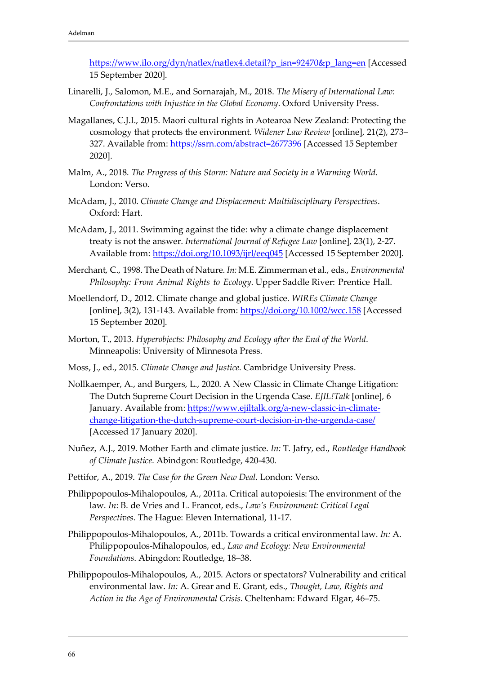[https://www.ilo.org/dyn/natlex/natlex4.detail?p\\_isn=92470&p\\_lang=en](https://www.ilo.org/dyn/natlex/natlex4.detail?p_isn=92470&p_lang=en) [Accessed 15 September 2020].

- Linarelli, J., Salomon, M.E., and Sornarajah, M., 2018. *The Misery of International Law: Confrontations with Injustice in the Global Economy*. Oxford University Press.
- Magallanes, C.J.I., 2015. Maori cultural rights in Aotearoa New Zealand: Protecting the cosmology that protects the environment. *Widener Law Review* [online], 21(2), 273– 327. Available from:<https://ssrn.com/abstract=2677396> [Accessed 15 September 2020].
- Malm, A., 2018. *The Progress of this Storm: Nature and Society in a Warming World*. London: Verso.
- McAdam, J., 2010. *Climate Change and Displacement: Multidisciplinary Perspectives*. Oxford: Hart.
- McAdam, J., 2011. Swimming against the tide: why a climate change displacement treaty is not the answer. *International Journal of Refugee Law* [online], 23(1), 2-27. Available from:<https://doi.org/10.1093/ijrl/eeq045> [Accessed 15 September 2020].
- Merchant, C., 1998. The Death of Nature. *In:* M.E. Zimmerman et al., eds., *Environmental Philosophy: From Animal Rights to Ecology*. Upper Saddle River: Prentice Hall.
- Moellendorf, D., 2012. Climate change and global justice. *WIREs Climate Change* [online], 3(2), 131-143. Available from:<https://doi.org/10.1002/wcc.158> [Accessed 15 September 2020].
- Morton, T., 2013. *Hyperobjects: Philosophy and Ecology after the End of the World*. Minneapolis: University of Minnesota Press.
- Moss, J., ed., 2015. *Climate Change and Justice*. Cambridge University Press.
- Nollkaemper, A., and Burgers, L., 2020. A New Classic in Climate Change Litigation: The Dutch Supreme Court Decision in the Urgenda Case. *EJIL!Talk* [online], 6 January. Available from: [https://www.ejiltalk.org/a-new-classic-in-climate](https://www.ejiltalk.org/a-new-classic-in-climate-change-litigation-the-dutch-supreme-court-decision-in-the-urgenda-case/)[change-litigation-the-dutch-supreme-court-decision-in-the-urgenda-case/](https://www.ejiltalk.org/a-new-classic-in-climate-change-litigation-the-dutch-supreme-court-decision-in-the-urgenda-case/) [Accessed 17 January 2020].
- Nuñez, A.J., 2019. Mother Earth and climate justice. *In:* T. Jafry, ed., *Routledge Handbook of Climate Justice*. Abindgon: Routledge, 420-430.
- Pettifor, A., 2019. *The Case for the Green New Deal*. London: Verso.
- Philippopoulos-Mihalopoulos, A., 2011a. Critical autopoiesis: The environment of the law. *In*: B. de Vries and L. Francot, eds., *Law's Environment: Critical Legal Perspectives*. The Hague: Eleven International, 11-17.
- Philippopoulos-Mihalopoulos, A., 2011b. Towards a critical environmental law. *In:* A. Philippopoulos-Mihalopoulos, ed., *Law and Ecology: New Environmental Foundations*. Abingdon: Routledge, 18–38.
- Philippopoulos-Mihalopoulos, A., 2015. Actors or spectators? Vulnerability and critical environmental law. *In:* A. Grear and E. Grant, eds., *Thought, Law, Rights and Action in the Age of Environmental Crisis*. Cheltenham: Edward Elgar, 46–75.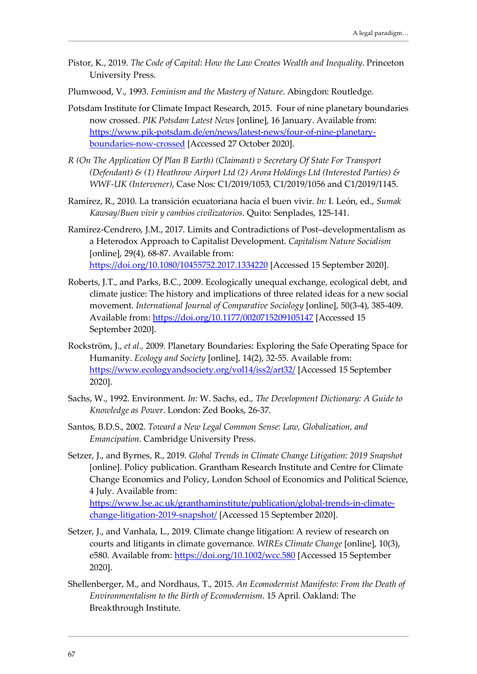- Pistor, K., 2019. *The Code of Capital: How the Law Creates Wealth and Inequality*. Princeton University Press.
- Plumwood, V., 1993. *Feminism and the Mastery of Nature*. Abingdon: Routledge.
- Potsdam Institute for Climate Impact Research, 2015. Four of nine planetary boundaries now crossed. *PIK Potsdam Latest News* [online], 16 January. Available from: [https://www.pik-potsdam.de/en/news/latest-news/four-of-nine-planetary](https://www.pik-potsdam.de/en/news/latest-news/four-of-nine-planetary-boundaries-now-crossed)[boundaries-now-crossed](https://www.pik-potsdam.de/en/news/latest-news/four-of-nine-planetary-boundaries-now-crossed) [Accessed 27 October 2020].
- *R (On The Application Of Plan B Earth) (Claimant) v Secretary Of State For Transport (Defendant) & (1) Heathrow Airport Ltd (2) Arora Holdings Ltd (Interested Parties) & WWF-UK (Intervener)*, Case Nos: C1/2019/1053, C1/2019/1056 and C1/2019/1145.
- Ramírez, R., 2010. La transición ecuatoriana hacía el buen vivir. *In:* I. León, ed., *Sumak Kawsay/Buen vivir y cambios civilizatorios*. Quito: Senplades, 125-141.
- Ramírez-Cendrero, J.M., 2017. Limits and Contradictions of Post–developmentalism as a Heterodox Approach to Capitalist Development. *Capitalism Nature Socialism* [online], 29(4), 68-87. Available from: <https://doi.org/10.1080/10455752.2017.1334220> [Accessed 15 September 2020].
- Roberts, J.T., and Parks, B.C., 2009. Ecologically unequal exchange, ecological debt, and climate justice: The history and implications of three related ideas for a new social movement. *International Journal of Comparative Sociology* [online], 50(3-4), 385-409. Available from:<https://doi.org/10.1177/0020715209105147> [Accessed 15 September 2020].
- Rockström, J., *et al.,* 2009. Planetary Boundaries: Exploring the Safe Operating Space for Humanity. *Ecology and Society* [online], 14(2), 32-55. Available from: <https://www.ecologyandsociety.org/vol14/iss2/art32/> [Accessed 15 September 2020].
- Sachs, W., 1992. Environment. *In:* W. Sachs, ed., *The Development Dictionary: A Guide to Knowledge as Power*. London: Zed Books, 26-37.
- Santos, B.D.S., 2002. *Toward a New Legal Common Sense: Law, Globalization, and Emancipation*. Cambridge University Press.
- Setzer, J., and Byrnes, R., 2019. *Global Trends in Climate Change Litigation: 2019 Snapshot* [online]. Policy publication. Grantham Research Institute and Centre for Climate Change Economics and Policy, London School of Economics and Political Science, 4 July. Available from:

[https://www.lse.ac.uk/granthaminstitute/publication/global-trends-in-climate](https://www.lse.ac.uk/granthaminstitute/publication/global-trends-in-climate-change-litigation-2019-snapshot/)[change-litigation-2019-snapshot/](https://www.lse.ac.uk/granthaminstitute/publication/global-trends-in-climate-change-litigation-2019-snapshot/) [Accessed 15 September 2020].

- Setzer, J., and Vanhala, L., 2019. Climate change litigation: A review of research on courts and litigants in climate governance. *WIREs Climate Change* [online], 10(3), e580. Available from:<https://doi.org/10.1002/wcc.580> [Accessed 15 September 2020].
- Shellenberger, M., and Nordhaus, T., 2015. *An Ecomodernist Manifesto: From the Death of Environmentalism to the Birth of Ecomodernism*. 15 April. Oakland: The Breakthrough Institute.